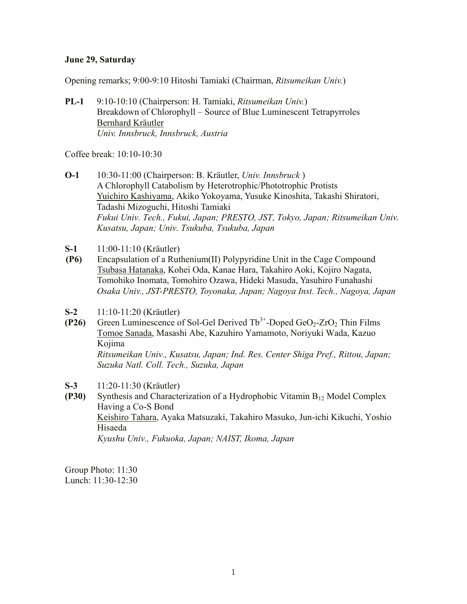## **June 29, Saturday**

Opening remarks; 9:00-9:10 Hitoshi Tamiaki (Chairman, *Ritsumeikan Univ.*)

**PL-1** 9:10-10:10 (Chairperson: H. Tamiaki, *Ritsumeikan Univ.*) Breakdown of Chlorophyll – Source of Blue Luminescent Tetrapyrroles Bernhard Kräutler *Univ. Innsbruck, Innsbruck, Austria* 

Coffee break: 10:10-10:30

- **O-1** 10:30-11:00 (Chairperson: B. Kräutler, *Univ. Innsbruck* ) A Chlorophyll Catabolism by Heterotrophic/Phototrophic Protists Yuichiro Kashiyama, Akiko Yokoyama, Yusuke Kinoshita, Takashi Shiratori, Tadashi Mizoguchi, Hitoshi Tamiaki *Fukui Univ. Tech., Fukui, Japan; PRESTO, JST, Tokyo, Japan; Ritsumeikan Univ. Kusatsu, Japan; Univ. Tsukuba, Tsukuba, Japan*
- **S-1** 11:00-11:10 (Kräutler)
- **(P6)** Encapsulation of a Ruthenium(II) Polypyridine Unit in the Cage Compound Tsubasa Hatanaka, Kohei Oda, Kanae Hara, Takahiro Aoki, Kojiro Nagata, Tomohiko Inomata, Tomohiro Ozawa, Hideki Masuda, Yasuhiro Funahashi *Osaka Univ., JST-PRESTO, Toyonaka, Japan; Nagoya Inst. Tech., Nagoya, Japan*
- **S-2** 11:10-11:20 (Kräutler)
- **(P26)** Green Luminescence of Sol-Gel Derived  $Tb^{3+}$ -Doped GeO<sub>2</sub>-ZrO<sub>2</sub> Thin Films Tomoe Sanada, Masashi Abe, Kazuhiro Yamamoto, Noriyuki Wada, Kazuo Kojima

*Ritsumeikan Univ., Kusatsu, Japan; Ind. Res. Center Shiga Pref., Rittou, Japan; Suzuka Natl. Coll. Tech., Suzuka, Japan* 

- **S-3** 11:20-11:30 (Kräutler)
- **(P30)** Synthesis and Characterization of a Hydrophobic Vitamin B12 Model Complex Having a Co-S Bond Keishiro Tahara, Ayaka Matsuzaki, Takahiro Masuko, Jun-ichi Kikuchi, Yoshio Hisaeda *Kyushu Univ., Fukuoka, Japan; NAIST, Ikoma, Japan*

Group Photo: 11:30 Lunch: 11:30-12:30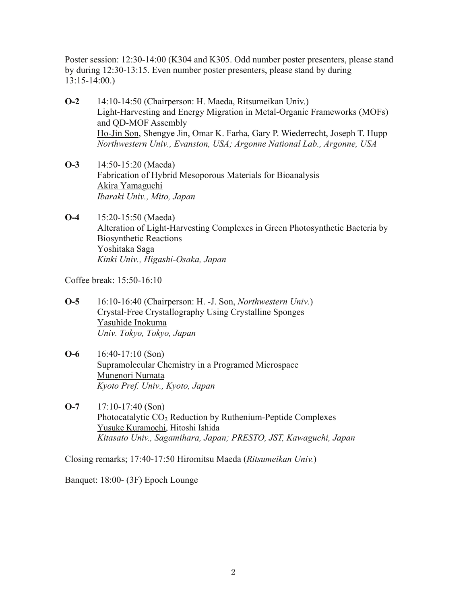Poster session: 12:30-14:00 (K304 and K305. Odd number poster presenters, please stand by during 12:30-13:15. Even number poster presenters, please stand by during 13:15-14:00.)

- **O-2** 14:10-14:50 (Chairperson: H. Maeda, Ritsumeikan Univ.) Light-Harvesting and Energy Migration in Metal-Organic Frameworks (MOFs) and QD-MOF Assembly Ho-Jin Son, Shengye Jin, Omar K. Farha, Gary P. Wiederrecht, Joseph T. Hupp *Northwestern Univ., Evanston, USA; Argonne National Lab., Argonne, USA*
- **O-3** 14:50-15:20 (Maeda) Fabrication of Hybrid Mesoporous Materials for Bioanalysis Akira Yamaguchi *Ibaraki Univ., Mito, Japan*
- **O-4** 15:20-15:50 (Maeda) Alteration of Light-Harvesting Complexes in Green Photosynthetic Bacteria by Biosynthetic Reactions Yoshitaka Saga *Kinki Univ., Higashi-Osaka, Japan*

Coffee break: 15:50-16:10

- **O-5** 16:10-16:40 (Chairperson: H. -J. Son, *Northwestern Univ.*) Crystal-Free Crystallography Using Crystalline Sponges Yasuhide Inokuma *Univ. Tokyo, Tokyo, Japan*
- **O-6** 16:40-17:10 (Son) Supramolecular Chemistry in a Programed Microspace Munenori Numata *Kyoto Pref. Univ., Kyoto, Japan*
- **O-7** 17:10-17:40 (Son) Photocatalytic CO<sub>2</sub> Reduction by Ruthenium-Peptide Complexes Yusuke Kuramochi, Hitoshi Ishida *Kitasato Univ., Sagamihara, Japan; PRESTO, JST, Kawaguchi, Japan*

Closing remarks; 17:40-17:50 Hiromitsu Maeda (*Ritsumeikan Univ.*)

Banquet: 18:00- (3F) Epoch Lounge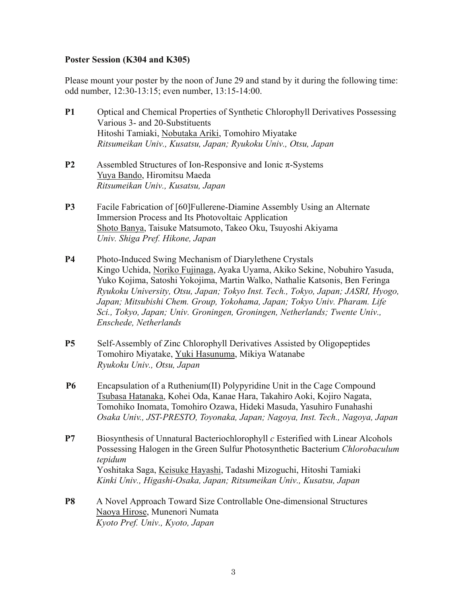## **Poster Session (K304 and K305)**

Please mount your poster by the noon of June 29 and stand by it during the following time: odd number, 12:30-13:15; even number, 13:15-14:00.

- **P1** Optical and Chemical Properties of Synthetic Chlorophyll Derivatives Possessing Various 3- and 20-Substituents Hitoshi Tamiaki, Nobutaka Ariki, Tomohiro Miyatake *Ritsumeikan Univ., Kusatsu, Japan; Ryukoku Univ., Otsu, Japan*
- **P2** Assembled Structures of Ion-Responsive and Ionic π-Systems Yuya Bando, Hiromitsu Maeda *Ritsumeikan Univ., Kusatsu, Japan*
- **P3** Facile Fabrication of [60]Fullerene-Diamine Assembly Using an Alternate Immersion Process and Its Photovoltaic Application Shoto Banya, Taisuke Matsumoto, Takeo Oku, Tsuyoshi Akiyama *Univ. Shiga Pref. Hikone, Japan*
- **P4** Photo-Induced Swing Mechanism of Diarylethene Crystals Kingo Uchida, Noriko Fujinaga, Ayaka Uyama, Akiko Sekine, Nobuhiro Yasuda, Yuko Kojima, Satoshi Yokojima, Martin Walko, Nathalie Katsonis, Ben Feringa *Ryukoku University, Otsu, Japan; Tokyo Inst. Tech., Tokyo, Japan; JASRI, Hyogo, Japan; Mitsubishi Chem. Group, Yokohama, Japan; Tokyo Univ. Pharam. Life Sci., Tokyo, Japan; Univ. Groningen, Groningen, Netherlands; Twente Univ., Enschede, Netherlands*
- **P5** Self-Assembly of Zinc Chlorophyll Derivatives Assisted by Oligopeptides Tomohiro Miyatake, Yuki Hasunuma, Mikiya Watanabe *Ryukoku Univ., Otsu, Japan*
- **P6** Encapsulation of a Ruthenium(II) Polypyridine Unit in the Cage Compound Tsubasa Hatanaka, Kohei Oda, Kanae Hara, Takahiro Aoki, Kojiro Nagata, Tomohiko Inomata, Tomohiro Ozawa, Hideki Masuda, Yasuhiro Funahashi *Osaka Univ., JST-PRESTO, Toyonaka, Japan; Nagoya, Inst. Tech., Nagoya, Japan*
- **P7** Biosynthesis of Unnatural Bacteriochlorophyll *c* Esterified with Linear Alcohols Possessing Halogen in the Green Sulfur Photosynthetic Bacterium *Chlorobaculum tepidum* Yoshitaka Saga, Keisuke Hayashi, Tadashi Mizoguchi, Hitoshi Tamiaki *Kinki Univ., Higashi-Osaka, Japan; Ritsumeikan Univ., Kusatsu, Japan*
- **P8** A Novel Approach Toward Size Controllable One-dimensional Structures Naoya Hirose, Munenori Numata *Kyoto Pref. Univ., Kyoto, Japan*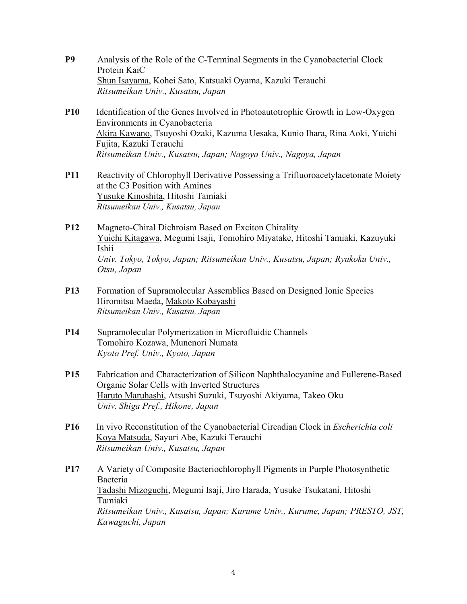- **P9** Analysis of the Role of the C-Terminal Segments in the Cyanobacterial Clock Protein KaiC Shun Isayama, Kohei Sato, Katsuaki Oyama, Kazuki Terauchi *Ritsumeikan Univ., Kusatsu, Japan*
- **P10** Identification of the Genes Involved in Photoautotrophic Growth in Low-Oxygen Environments in Cyanobacteria Akira Kawano, Tsuyoshi Ozaki, Kazuma Uesaka, Kunio Ihara, Rina Aoki, Yuichi Fujita, Kazuki Terauchi *Ritsumeikan Univ., Kusatsu, Japan; Nagoya Univ., Nagoya, Japan*
- **P11** Reactivity of Chlorophyll Derivative Possessing a Trifluoroacetylacetonate Moiety at the C3 Position with Amines Yusuke Kinoshita, Hitoshi Tamiaki *Ritsumeikan Univ., Kusatsu, Japan*
- **P12** Magneto-Chiral Dichroism Based on Exciton Chirality Yuichi Kitagawa, Megumi Isaji, Tomohiro Miyatake, Hitoshi Tamiaki, Kazuyuki Ishii *Univ. Tokyo, Tokyo, Japan; Ritsumeikan Univ., Kusatsu, Japan; Ryukoku Univ., Otsu, Japan*
- **P13** Formation of Supramolecular Assemblies Based on Designed Ionic Species Hiromitsu Maeda, Makoto Kobayashi *Ritsumeikan Univ., Kusatsu, Japan*
- **P14** Supramolecular Polymerization in Microfluidic Channels Tomohiro Kozawa, Munenori Numata *Kyoto Pref. Univ., Kyoto, Japan*
- **P15** Fabrication and Characterization of Silicon Naphthalocyanine and Fullerene-Based Organic Solar Cells with Inverted Structures Haruto Maruhashi, Atsushi Suzuki, Tsuyoshi Akiyama, Takeo Oku *Univ. Shiga Pref., Hikone, Japan*
- **P16** In vivo Reconstitution of the Cyanobacterial Circadian Clock in *Escherichia coli* Koya Matsuda, Sayuri Abe, Kazuki Terauchi *Ritsumeikan Univ., Kusatsu, Japan*
- **P17** A Variety of Composite Bacteriochlorophyll Pigments in Purple Photosynthetic Bacteria Tadashi Mizoguchi, Megumi Isaji, Jiro Harada, Yusuke Tsukatani, Hitoshi Tamiaki *Ritsumeikan Univ., Kusatsu, Japan; Kurume Univ., Kurume, Japan; PRESTO, JST, Kawaguchi, Japan*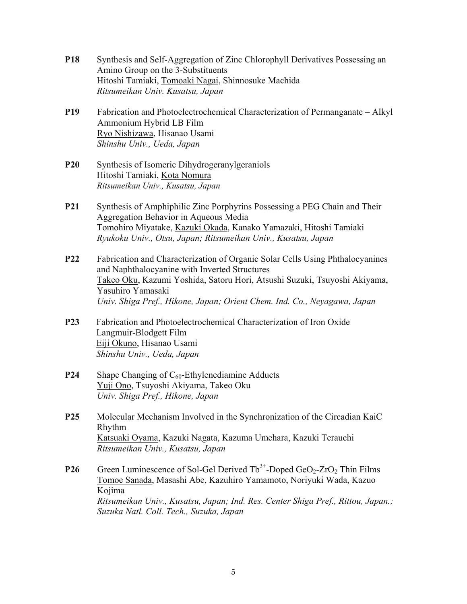- **P18** Synthesis and Self-Aggregation of Zinc Chlorophyll Derivatives Possessing an Amino Group on the 3-Substituents Hitoshi Tamiaki, Tomoaki Nagai, Shinnosuke Machida *Ritsumeikan Univ. Kusatsu, Japan* **P19** Fabrication and Photoelectrochemical Characterization of Permanganate – Alkyl Ammonium Hybrid LB Film Ryo Nishizawa, Hisanao Usami *Shinshu Univ., Ueda, Japan*  **P20** Synthesis of Isomeric Dihydrogeranylgeraniols Hitoshi Tamiaki, Kota Nomura *Ritsumeikan Univ., Kusatsu, Japan* **P21** Synthesis of Amphiphilic Zinc Porphyrins Possessing a PEG Chain and Their Aggregation Behavior in Aqueous Media Tomohiro Miyatake, Kazuki Okada, Kanako Yamazaki, Hitoshi Tamiaki *Ryukoku Univ., Otsu, Japan; Ritsumeikan Univ., Kusatsu, Japan*  **P22** Fabrication and Characterization of Organic Solar Cells Using Phthalocyanines and Naphthalocyanine with Inverted Structures Takeo Oku, Kazumi Yoshida, Satoru Hori, Atsushi Suzuki, Tsuyoshi Akiyama, Yasuhiro Yamasaki *Univ. Shiga Pref., Hikone, Japan; Orient Chem. Ind. Co., Neyagawa, Japan*  **P23** Fabrication and Photoelectrochemical Characterization of Iron Oxide Langmuir-Blodgett Film Eiji Okuno, Hisanao Usami *Shinshu Univ., Ueda, Japan*
- **P24** Shape Changing of C<sub>60</sub>-Ethylenediamine Adducts Yuji Ono, Tsuyoshi Akiyama, Takeo Oku *Univ. Shiga Pref., Hikone, Japan*
- **P25** Molecular Mechanism Involved in the Synchronization of the Circadian KaiC Rhythm Katsuaki Oyama, Kazuki Nagata, Kazuma Umehara, Kazuki Terauchi *Ritsumeikan Univ., Kusatsu, Japan*
- **P26** Green Luminescence of Sol-Gel Derived  $Tb^{3+}$ -Doped GeO<sub>2</sub>-ZrO<sub>2</sub> Thin Films Tomoe Sanada, Masashi Abe, Kazuhiro Yamamoto, Noriyuki Wada, Kazuo Kojima *Ritsumeikan Univ., Kusatsu, Japan; Ind. Res. Center Shiga Pref., Rittou, Japan.; Suzuka Natl. Coll. Tech., Suzuka, Japan*